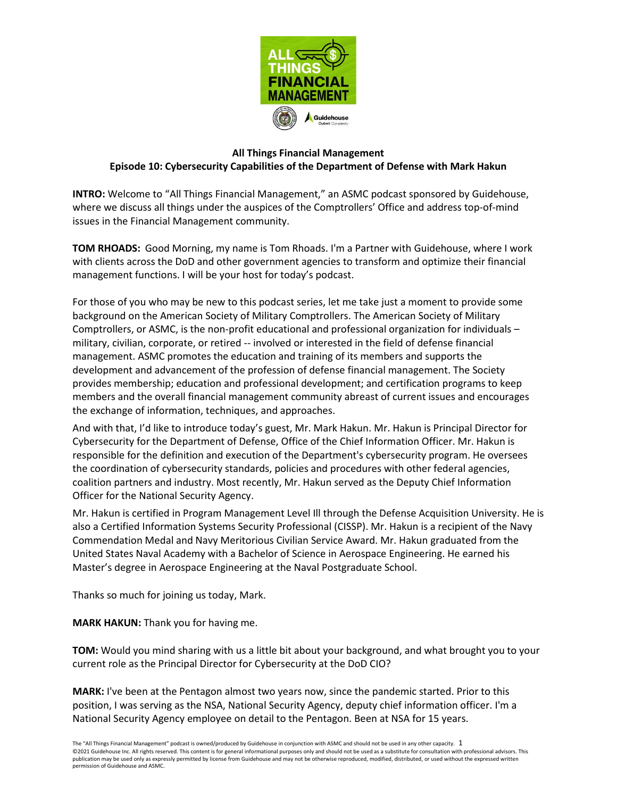

## **All Things Financial Management Episode 10: Cybersecurity Capabilities of the Department of Defense with Mark Hakun**

**INTRO:** Welcome to "All Things Financial Management," an ASMC podcast sponsored by Guidehouse, where we discuss all things under the auspices of the Comptrollers' Office and address top-of-mind issues in the Financial Management community.

**TOM RHOADS:** Good Morning, my name is Tom Rhoads. I'm a Partner with Guidehouse, where I work with clients across the DoD and other government agencies to transform and optimize their financial management functions. I will be your host for today's podcast.

For those of you who may be new to this podcast series, let me take just a moment to provide some background on the American Society of Military Comptrollers. The American Society of Military Comptrollers, or ASMC, is the non-profit educational and professional organization for individuals – military, civilian, corporate, or retired -- involved or interested in the field of defense financial management. ASMC promotes the education and training of its members and supports the development and advancement of the profession of defense financial management. The Society provides membership; education and professional development; and certification programs to keep members and the overall financial management community abreast of current issues and encourages the exchange of information, techniques, and approaches.

And with that, I'd like to introduce today's guest, Mr. Mark Hakun. Mr. Hakun is Principal Director for Cybersecurity for the Department of Defense, Office of the Chief Information Officer. Mr. Hakun is responsible for the definition and execution of the Department's cybersecurity program. He oversees the coordination of cybersecurity standards, policies and procedures with other federal agencies, coalition partners and industry. Most recently, Mr. Hakun served as the Deputy Chief Information Officer for the National Security Agency.

Mr. Hakun is certified in Program Management Level Ill through the Defense Acquisition University. He is also a Certified Information Systems Security Professional (CISSP). Mr. Hakun is a recipient of the Navy Commendation Medal and Navy Meritorious Civilian Service Award. Mr. Hakun graduated from the United States Naval Academy with a Bachelor of Science in Aerospace Engineering. He earned his Master's degree in Aerospace Engineering at the Naval Postgraduate School.

Thanks so much for joining us today, Mark.

**MARK HAKUN:** Thank you for having me.

**TOM:** Would you mind sharing with us a little bit about your background, and what brought you to your current role as the Principal Director for Cybersecurity at the DoD CIO?

**MARK:** I've been at the Pentagon almost two years now, since the pandemic started. Prior to this position, I was serving as the NSA, National Security Agency, deputy chief information officer. I'm a National Security Agency employee on detail to the Pentagon. Been at NSA for 15 years.

The "All Things Financial Management" podcast is owned/produced by Guidehouse in conjunction with ASMC and should not be used in any other capacity. 1 ©2021 Guidehouse Inc. All rights reserved. This content is for general informational purposes only and should not be used as a substitute for consultation with professional advisors. This publication may be used only as expressly permitted by license from Guidehouse and may not be otherwise reproduced, modified, distributed, or used without the expressed written permission of Guidehouse and ASMC.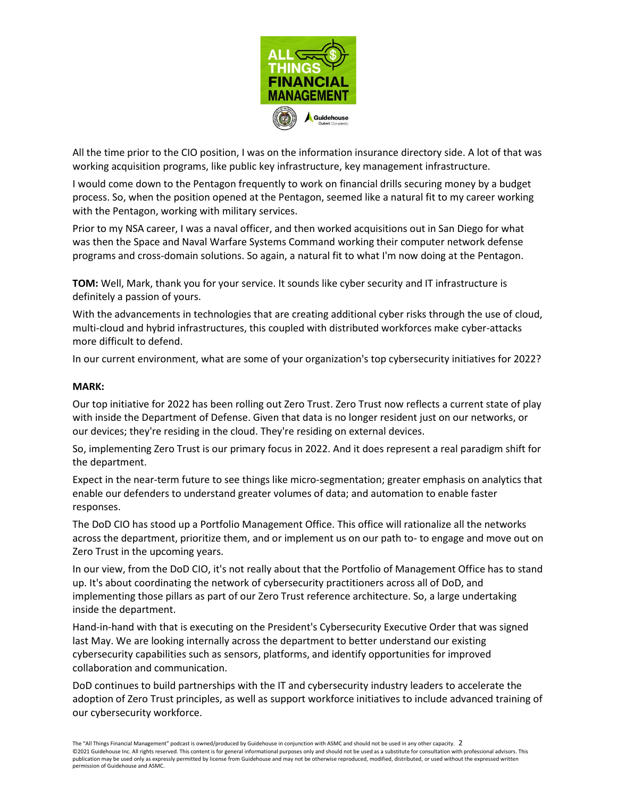

All the time prior to the CIO position, I was on the information insurance directory side. A lot of that was working acquisition programs, like public key infrastructure, key management infrastructure.

I would come down to the Pentagon frequently to work on financial drills securing money by a budget process. So, when the position opened at the Pentagon, seemed like a natural fit to my career working with the Pentagon, working with military services.

Prior to my NSA career, I was a naval officer, and then worked acquisitions out in San Diego for what was then the Space and Naval Warfare Systems Command working their computer network defense programs and cross-domain solutions. So again, a natural fit to what I'm now doing at the Pentagon.

**TOM:** Well, Mark, thank you for your service. It sounds like cyber security and IT infrastructure is definitely a passion of yours.

With the advancements in technologies that are creating additional cyber risks through the use of cloud, multi-cloud and hybrid infrastructures, this coupled with distributed workforces make cyber-attacks more difficult to defend.

In our current environment, what are some of your organization's top cybersecurity initiatives for 2022?

## **MARK:**

Our top initiative for 2022 has been rolling out Zero Trust. Zero Trust now reflects a current state of play with inside the Department of Defense. Given that data is no longer resident just on our networks, or our devices; they're residing in the cloud. They're residing on external devices.

So, implementing Zero Trust is our primary focus in 2022. And it does represent a real paradigm shift for the department.

Expect in the near-term future to see things like micro-segmentation; greater emphasis on analytics that enable our defenders to understand greater volumes of data; and automation to enable faster responses.

The DoD CIO has stood up a Portfolio Management Office. This office will rationalize all the networks across the department, prioritize them, and or implement us on our path to- to engage and move out on Zero Trust in the upcoming years.

In our view, from the DoD CIO, it's not really about that the Portfolio of Management Office has to stand up. It's about coordinating the network of cybersecurity practitioners across all of DoD, and implementing those pillars as part of our Zero Trust reference architecture. So, a large undertaking inside the department.

Hand-in-hand with that is executing on the President's Cybersecurity Executive Order that was signed last May. We are looking internally across the department to better understand our existing cybersecurity capabilities such as sensors, platforms, and identify opportunities for improved collaboration and communication.

DoD continues to build partnerships with the IT and cybersecurity industry leaders to accelerate the adoption of Zero Trust principles, as well as support workforce initiatives to include advanced training of our cybersecurity workforce.

The "All Things Financial Management" podcast is owned/produced by Guidehouse in conjunction with ASMC and should not be used in any other capacity. 2 ©2021 Guidehouse Inc. All rights reserved. This content is for general informational purposes only and should not be used as a substitute for consultation with professional advisors. This publication may be used only as expressly permitted by license from Guidehouse and may not be otherwise reproduced, modified, distributed, or used without the expressed written permission of Guidehouse and ASMC.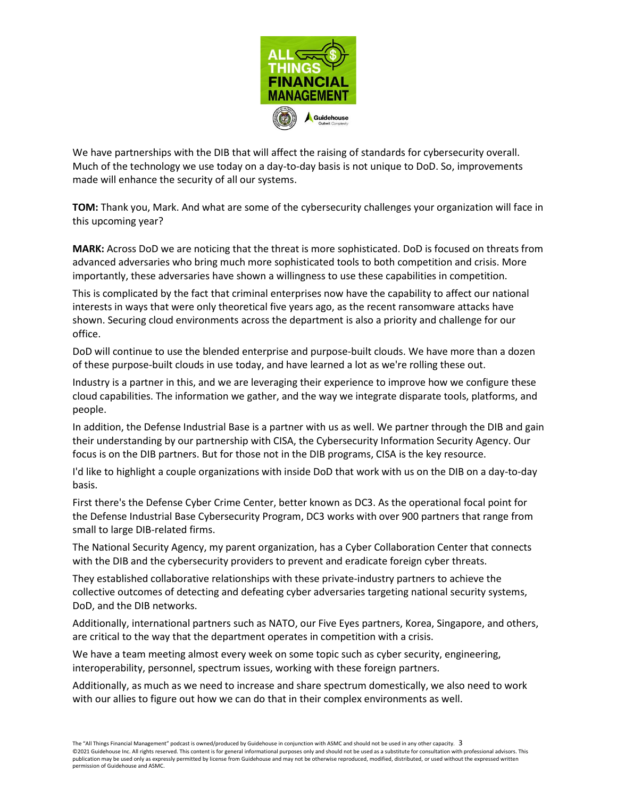

We have partnerships with the DIB that will affect the raising of standards for cybersecurity overall. Much of the technology we use today on a day-to-day basis is not unique to DoD. So, improvements made will enhance the security of all our systems.

**TOM:** Thank you, Mark. And what are some of the cybersecurity challenges your organization will face in this upcoming year?

**MARK:** Across DoD we are noticing that the threat is more sophisticated. DoD is focused on threats from advanced adversaries who bring much more sophisticated tools to both competition and crisis. More importantly, these adversaries have shown a willingness to use these capabilities in competition.

This is complicated by the fact that criminal enterprises now have the capability to affect our national interests in ways that were only theoretical five years ago, as the recent ransomware attacks have shown. Securing cloud environments across the department is also a priority and challenge for our office.

DoD will continue to use the blended enterprise and purpose-built clouds. We have more than a dozen of these purpose-built clouds in use today, and have learned a lot as we're rolling these out.

Industry is a partner in this, and we are leveraging their experience to improve how we configure these cloud capabilities. The information we gather, and the way we integrate disparate tools, platforms, and people.

In addition, the Defense Industrial Base is a partner with us as well. We partner through the DIB and gain their understanding by our partnership with CISA, the Cybersecurity Information Security Agency. Our focus is on the DIB partners. But for those not in the DIB programs, CISA is the key resource.

I'd like to highlight a couple organizations with inside DoD that work with us on the DIB on a day-to-day basis.

First there's the Defense Cyber Crime Center, better known as DC3. As the operational focal point for the Defense Industrial Base Cybersecurity Program, DC3 works with over 900 partners that range from small to large DIB-related firms.

The National Security Agency, my parent organization, has a Cyber Collaboration Center that connects with the DIB and the cybersecurity providers to prevent and eradicate foreign cyber threats.

They established collaborative relationships with these private-industry partners to achieve the collective outcomes of detecting and defeating cyber adversaries targeting national security systems, DoD, and the DIB networks.

Additionally, international partners such as NATO, our Five Eyes partners, Korea, Singapore, and others, are critical to the way that the department operates in competition with a crisis.

We have a team meeting almost every week on some topic such as cyber security, engineering, interoperability, personnel, spectrum issues, working with these foreign partners.

Additionally, as much as we need to increase and share spectrum domestically, we also need to work with our allies to figure out how we can do that in their complex environments as well.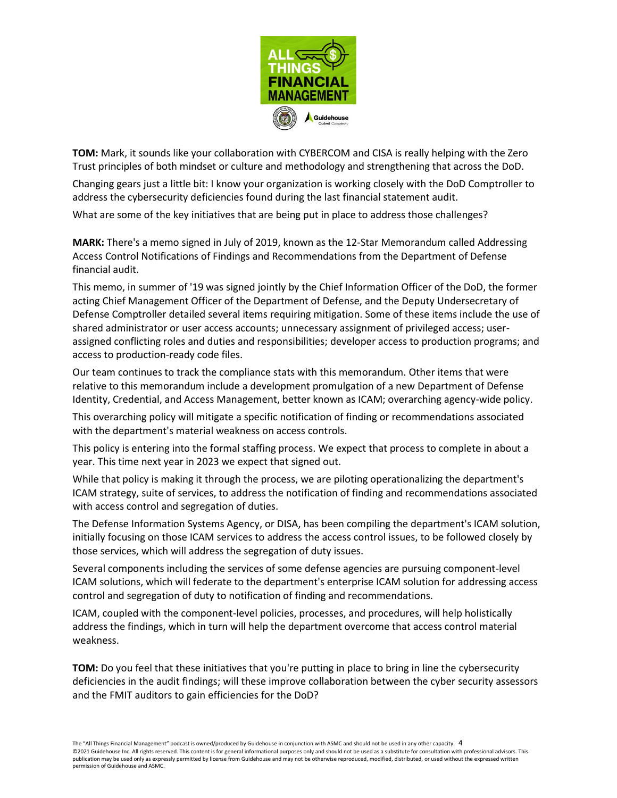

**TOM:** Mark, it sounds like your collaboration with CYBERCOM and CISA is really helping with the Zero Trust principles of both mindset or culture and methodology and strengthening that across the DoD.

Changing gears just a little bit: I know your organization is working closely with the DoD Comptroller to address the cybersecurity deficiencies found during the last financial statement audit.

What are some of the key initiatives that are being put in place to address those challenges?

**MARK:** There's a memo signed in July of 2019, known as the 12-Star Memorandum called Addressing Access Control Notifications of Findings and Recommendations from the Department of Defense financial audit.

This memo, in summer of '19 was signed jointly by the Chief Information Officer of the DoD, the former acting Chief Management Officer of the Department of Defense, and the Deputy Undersecretary of Defense Comptroller detailed several items requiring mitigation. Some of these items include the use of shared administrator or user access accounts; unnecessary assignment of privileged access; userassigned conflicting roles and duties and responsibilities; developer access to production programs; and access to production-ready code files.

Our team continues to track the compliance stats with this memorandum. Other items that were relative to this memorandum include a development promulgation of a new Department of Defense Identity, Credential, and Access Management, better known as ICAM; overarching agency-wide policy.

This overarching policy will mitigate a specific notification of finding or recommendations associated with the department's material weakness on access controls.

This policy is entering into the formal staffing process. We expect that process to complete in about a year. This time next year in 2023 we expect that signed out.

While that policy is making it through the process, we are piloting operationalizing the department's ICAM strategy, suite of services, to address the notification of finding and recommendations associated with access control and segregation of duties.

The Defense Information Systems Agency, or DISA, has been compiling the department's ICAM solution, initially focusing on those ICAM services to address the access control issues, to be followed closely by those services, which will address the segregation of duty issues.

Several components including the services of some defense agencies are pursuing component-level ICAM solutions, which will federate to the department's enterprise ICAM solution for addressing access control and segregation of duty to notification of finding and recommendations.

ICAM, coupled with the component-level policies, processes, and procedures, will help holistically address the findings, which in turn will help the department overcome that access control material weakness.

**TOM:** Do you feel that these initiatives that you're putting in place to bring in line the cybersecurity deficiencies in the audit findings; will these improve collaboration between the cyber security assessors and the FMIT auditors to gain efficiencies for the DoD?

The "All Things Financial Management" podcast is owned/produced by Guidehouse in conjunction with ASMC and should not be used in any other capacity. 4 ©2021 Guidehouse Inc. All rights reserved. This content is for general informational purposes only and should not be used as a substitute for consultation with professional advisors. This publication may be used only as expressly permitted by license from Guidehouse and may not be otherwise reproduced, modified, distributed, or used without the expressed written permission of Guidehouse and ASMC.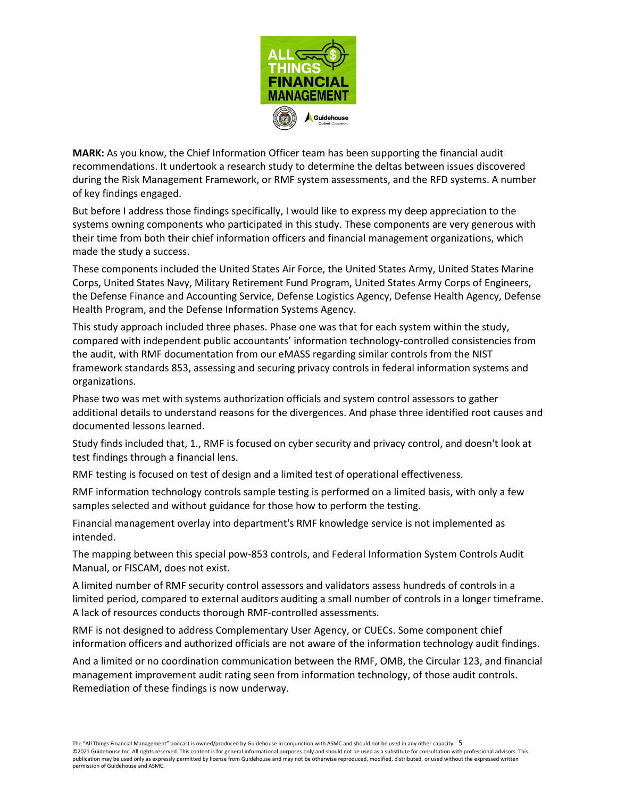

**MARK:** As you know, the Chief Information Officer team has been supporting the financial audit recommendations. It undertook a research study to determine the deltas between issues discovered during the Risk Management Framework, or RMF system assessments, and the RFD systems. A number of key findings engaged.

But before I address those findings specifically, I would like to express my deep appreciation to the systems owning components who participated in this study. These components are very generous with their time from both their chief information officers and financial management organizations, which made the study a success.

These components included the United States Air Force, the United States Army, United States Marine Corps, United States Navy, Military Retirement Fund Program, United States Army Corps of Engineers, the Defense Finance and Accounting Service, Defense Logistics Agency, Defense Health Agency, Defense Health Program, and the Defense Information Systems Agency.

This study approach included three phases. Phase one was that for each system within the study, compared with independent public accountants' information technology-controlled consistencies from the audit, with RMF documentation from our eMASS regarding similar controls from the NIST framework standards 853, assessing and securing privacy controls in federal information systems and organizations.

Phase two was met with systems authorization officials and system control assessors to gather additional details to understand reasons for the divergences. And phase three identified root causes and documented lessons learned.

Study finds included that, 1., RMF is focused on cyber security and privacy control, and doesn't look at test findings through a financial lens.

RMF testing is focused on test of design and a limited test of operational effectiveness.

RMF information technology controls sample testing is performed on a limited basis, with only a few samples selected and without guidance for those how to perform the testing.

Financial management overlay into department's RMF knowledge service is not implemented as intended.

The mapping between this special pow-853 controls, and Federal Information System Controls Audit Manual, or FISCAM, does not exist.

A limited number of RMF security control assessors and validators assess hundreds of controls in a limited period, compared to external auditors auditing a small number of controls in a longer timeframe. A lack of resources conducts thorough RMF-controlled assessments.

RMF is not designed to address Complementary User Agency, or CUECs. Some component chief information officers and authorized officials are not aware of the information technology audit findings.

And a limited or no coordination communication between the RMF, OMB, the Circular 123, and financial management improvement audit rating seen from information technology, of those audit controls. Remediation of these findings is now underway.

The "All Things Financial Management" podcast is owned/produced by Guidehouse in conjunction with ASMC and should not be used in any other capacity. 5 ©2021 Guidehouse Inc. All rights reserved. This content is for general informational purposes only and should not be used as a substitute for consultation with professional advisors. This publication may be used only as expressly permitted by license from Guidehouse and may not be otherwise reproduced, modified, distributed, or used without the expressed written permission of Guidehouse and ASMC.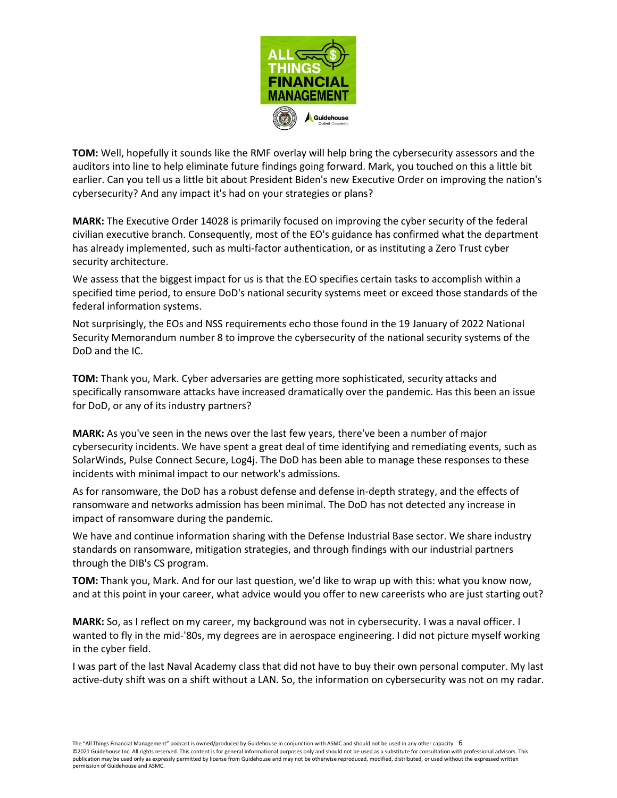

**TOM:** Well, hopefully it sounds like the RMF overlay will help bring the cybersecurity assessors and the auditors into line to help eliminate future findings going forward. Mark, you touched on this a little bit earlier. Can you tell us a little bit about President Biden's new Executive Order on improving the nation's cybersecurity? And any impact it's had on your strategies or plans?

**MARK:** The Executive Order 14028 is primarily focused on improving the cyber security of the federal civilian executive branch. Consequently, most of the EO's guidance has confirmed what the department has already implemented, such as multi-factor authentication, or as instituting a Zero Trust cyber security architecture.

We assess that the biggest impact for us is that the EO specifies certain tasks to accomplish within a specified time period, to ensure DoD's national security systems meet or exceed those standards of the federal information systems.

Not surprisingly, the EOs and NSS requirements echo those found in the 19 January of 2022 National Security Memorandum number 8 to improve the cybersecurity of the national security systems of the DoD and the IC.

**TOM:** Thank you, Mark. Cyber adversaries are getting more sophisticated, security attacks and specifically ransomware attacks have increased dramatically over the pandemic. Has this been an issue for DoD, or any of its industry partners?

**MARK:** As you've seen in the news over the last few years, there've been a number of major cybersecurity incidents. We have spent a great deal of time identifying and remediating events, such as SolarWinds, Pulse Connect Secure, Log4j. The DoD has been able to manage these responses to these incidents with minimal impact to our network's admissions.

As for ransomware, the DoD has a robust defense and defense in-depth strategy, and the effects of ransomware and networks admission has been minimal. The DoD has not detected any increase in impact of ransomware during the pandemic.

We have and continue information sharing with the Defense Industrial Base sector. We share industry standards on ransomware, mitigation strategies, and through findings with our industrial partners through the DIB's CS program.

**TOM:** Thank you, Mark. And for our last question, we'd like to wrap up with this: what you know now, and at this point in your career, what advice would you offer to new careerists who are just starting out?

**MARK:** So, as I reflect on my career, my background was not in cybersecurity. I was a naval officer. I wanted to fly in the mid-'80s, my degrees are in aerospace engineering. I did not picture myself working in the cyber field.

I was part of the last Naval Academy class that did not have to buy their own personal computer. My last active-duty shift was on a shift without a LAN. So, the information on cybersecurity was not on my radar.

The "All Things Financial Management" podcast is owned/produced by Guidehouse in conjunction with ASMC and should not be used in any other capacity. 6

©2021 Guidehouse Inc. All rights reserved. This content is for general informational purposes only and should not be used as a substitute for consultation with professional advisors. This publication may be used only as expressly permitted by license from Guidehouse and may not be otherwise reproduced, modified, distributed, or used without the expressed written permission of Guidehouse and ASMC.